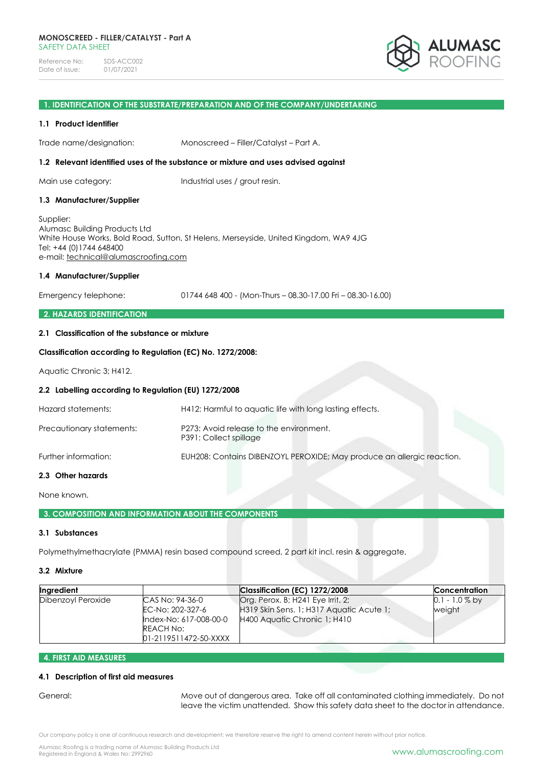

## **1. IDENTIFICATION OF THE SUBSTRATE/PREPARATION AND OF THE COMPANY/UNDERTAKING**

#### **1.1 Product identifier**

Trade name/designation: Monoscreed – Filler/Catalyst – Part A.

#### **1.2 Relevant identified uses of the substance or mixture and uses advised against**

Main use category: Industrial uses / grout resin.

#### **1.3 Manufacturer/Supplier**

Supplier: Alumasc Building Products Ltd White House Works, Bold Road, Sutton, St Helens, Merseyside, United Kingdom, WA9 4JG Tel: +44 (0)1744 648400 e-mail: [technical@alumascroofing.com](mailto:technical@alumascroofing.com)

#### **1.4 Manufacturer/Supplier**

Emergency telephone: 01744 648 400 - (Mon-Thurs – 08.30-17.00 Fri – 08.30-16.00)

## **2. HAZARDS IDENTIFICATION**

## **2.1 Classification of the substance or mixture**

## **Classification according to Regulation (EC) No. 1272/2008:**

Aquatic Chronic 3; H412.

#### **2.2 Labelling according to Regulation (EU) 1272/2008**

| 2.3 Other hazards         |                                                                        |
|---------------------------|------------------------------------------------------------------------|
| Further information:      | EUH208: Contains DIBENZOYL PEROXIDE; May produce an allergic reaction. |
| Precautionary statements: | P273: Avoid release to the environment.<br>P391: Collect spillage      |
| Hazard statements:        | H412: Harmful to aguatic life with long lasting effects.               |

#### **2.3 Other hazards**

None known.

## **3. COMPOSITION AND INFORMATION ABOUT THE COMPONENTS**

## **3.1 Substances**

Polymethylmethacrylate (PMMA) resin based compound screed, 2 part kit incl. resin & aggregate.

#### **3.2 Mixture**

| Ingredient         |                                                                                                            | Classification (EC) 1272/2008                                                                                 | <b>Concentration</b>       |
|--------------------|------------------------------------------------------------------------------------------------------------|---------------------------------------------------------------------------------------------------------------|----------------------------|
| Dibenzoyl Peroxide | CAS No: 94-36-0<br>EC-No: 202-327-6<br>Index-No: 617-008-00-0<br><b>REACH No:</b><br>01-2119511472-50-XXXX | Org. Perox. B; H241 Eye Irrit. 2;<br>H319 Skin Sens. 1; H317 Aquatic Acute 1;<br>H400 Aquatic Chronic 1; H410 | $0.1 - 1.0\%$ by<br>weight |

## **4. FIRST AID MEASURES**

#### **4.1 Description of first aid measures**

General: Move out of dangerous area. Take off all contaminated clothing immediately. Do not leave the victim unattended. Show this safety data sheet to the doctor in attendance.

Our company policy is one of continuous research and development; we therefore reserve the right to amend content herein without prior notice.

Alumasc Roofing is a trading name of Alumasc Building Products Ltd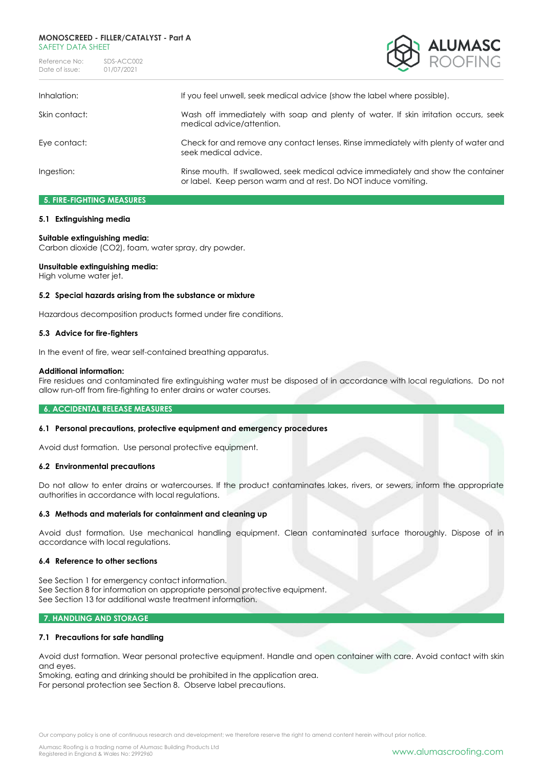#### **MONOSCREED - FILLER/CATALYST - Part A** SAFFTY DATA SHFFT

Reference No: SDS-ACC002<br>Date of issue: 01/07/2021 Date of issue:



| Inhalation:   | If you feel unwell, seek medical advice (show the label where possible).                                                                             |
|---------------|------------------------------------------------------------------------------------------------------------------------------------------------------|
| Skin contact: | Wash off immediately with soap and plenty of water. If skin irritation occurs, seek<br>medical advice/attention.                                     |
| Eye contact:  | Check for and remove any contact lenses. Rinse immediately with plenty of water and<br>seek medical advice.                                          |
| Ingestion:    | Rinse mouth. If swallowed, seek medical advice immediately and show the container<br>or label. Keep person warm and at rest. Do NOT induce vomiting. |

# **5. FIRE-FIGHTING MEASURES**

## **5.1 Extinguishing media**

## **Suitable extinguishing media:**

Carbon dioxide (CO2), foam, water spray, dry powder.

## **Unsuitable extinguishing media:**

High volume water jet.

#### **5.2 Special hazards arising from the substance or mixture**

Hazardous decomposition products formed under fire conditions.

#### **5.3 Advice for fire-fighters**

In the event of fire, wear self-contained breathing apparatus.

#### **Additional information:**

Fire residues and contaminated fire extinguishing water must be disposed of in accordance with local regulations. Do not allow run-off from fire-fighting to enter drains or water courses.

#### **6. ACCIDENTAL RELEASE MEASURES**

## **6.1 Personal precautions, protective equipment and emergency procedures**

Avoid dust formation. Use personal protective equipment.

#### **6.2 Environmental precautions**

Do not allow to enter drains or watercourses. If the product contaminates lakes, rivers, or sewers, inform the appropriate authorities in accordance with local regulations.

## **6.3 Methods and materials for containment and cleaning up**

Avoid dust formation. Use mechanical handling equipment. Clean contaminated surface thoroughly. Dispose of in accordance with local regulations.

#### **6.4 Reference to other sections**

See Section 1 for emergency contact information. See Section 8 for information on appropriate personal protective equipment. See Section 13 for additional waste treatment information.

## **7. HANDLING AND STORAGE**

## **7.1 Precautions for safe handling**

Avoid dust formation. Wear personal protective equipment. Handle and open container with care. Avoid contact with skin and eyes.

Smoking, eating and drinking should be prohibited in the application area. For personal protection see Section 8. Observe label precautions.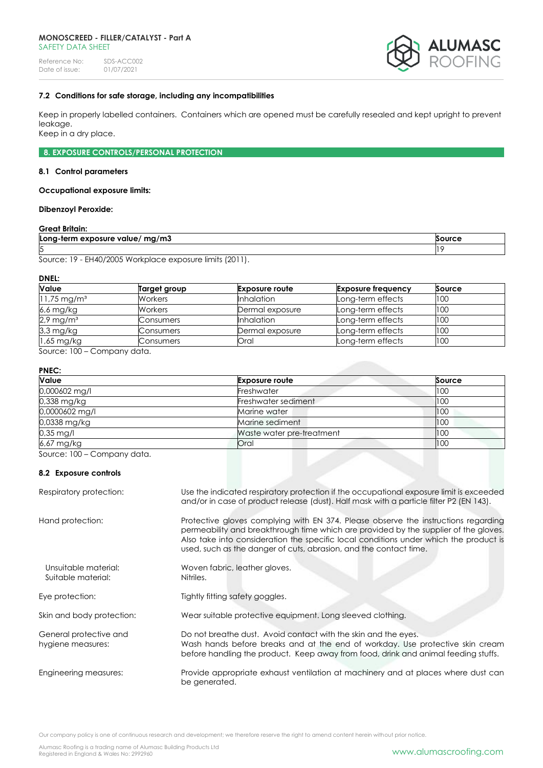#### **MONOSCREED - FILLER/CATALYST - Part A** SAFFTY DATA SHFFT

Reference No: SDS-ACC002<br>Date of issue: 01/07/2021 Date of issue:



#### **7.2 Conditions for safe storage, including any incompatibilities**

Keep in properly labelled containers. Containers which are opened must be carefully resealed and kept upright to prevent leakage.

Keep in a dry place.

**8. EXPOSURE CONTROLS/PERSONAL PROTECTION**

#### **8.1 Control parameters**

#### **Occupational exposure limits:**

#### **Dibenzoyl Peroxide:**

#### **Great Britain:**

| mg/m3<br>Long-term exposure value/ | <b>Source</b> |
|------------------------------------|---------------|
| ౹ϝ<br>ັ                            |               |

Source: 19 - EH40/2005 Workplace exposure limits (2011).

**DNEL:**

| <b>Value</b>              | Target group | <b>Exposure route</b> | <b>Exposure frequency</b> | Source |
|---------------------------|--------------|-----------------------|---------------------------|--------|
| $11,75 \,\mathrm{mg/m^3}$ | Workers      | <b>Inhalation</b>     | Long-term effects         | 100    |
| 6,6 mg/kg                 | Workers      | Dermal exposure       | Long-term effects         | 100    |
| $2.9$ mg/m <sup>3</sup>   | Consumers    | <b>Inhalation</b>     | Long-term effects         | 100    |
| 3,3 mg/kg                 | Consumers    | Dermal exposure       | Long-term effects         | 100    |
| $1,65$ mg/kg              | Consumers    | Oral                  | Long-term effects         | 100    |

Source: 100 – Company data.

## **PNEC:**

| Value                                          | <b>Exposure route</b>     | Source |
|------------------------------------------------|---------------------------|--------|
| 0,000602 mg/l                                  | Freshwater                | 100    |
| 0,338 mg/kg                                    | Freshwater sediment       | 100    |
| 0,0000602 mg/l                                 | Marine water              | 100    |
| 0,0338 mg/kg                                   | Marine sediment           | 100    |
| $0.35$ mg/l                                    | Waste water pre-treatment | 100    |
| 6,67 mg/kg                                     | Oral                      | 1100   |
| $S_0, \text{max}$ 100 $\bigcap_{n=1}^{\infty}$ |                           |        |

Source: 100 – Company data.

#### **8.2 Exposure controls**

| Respiratory protection:                     | Use the indicated respiratory protection if the occupational exposure limit is exceeded<br>and/or in case of product release (dust). Half mask with a particle filter P2 (EN 143).                                                                                                                                                       |
|---------------------------------------------|------------------------------------------------------------------------------------------------------------------------------------------------------------------------------------------------------------------------------------------------------------------------------------------------------------------------------------------|
| Hand protection:                            | Protective gloves complying with EN 374. Please observe the instructions regarding<br>permeability and breakthrough time which are provided by the supplier of the gloves.<br>Also take into consideration the specific local conditions under which the product is<br>used, such as the danger of cuts, abrasion, and the contact time. |
| Unsuitable material:<br>Suitable material:  | Woven fabric, leather gloves.<br>Nitriles.                                                                                                                                                                                                                                                                                               |
| Eye protection:                             | Tightly fitting safety goggles.                                                                                                                                                                                                                                                                                                          |
| Skin and body protection:                   | Wear suitable protective equipment. Long sleeved clothing.                                                                                                                                                                                                                                                                               |
| General protective and<br>hygiene measures: | Do not breathe dust. Avoid contact with the skin and the eyes.<br>Wash hands before breaks and at the end of workday. Use protective skin cream<br>before handling the product. Keep away from food, drink and animal feeding stuffs.                                                                                                    |
| Engineering measures:                       | Provide appropriate exhaust ventilation at machinery and at places where dust can<br>be generated.                                                                                                                                                                                                                                       |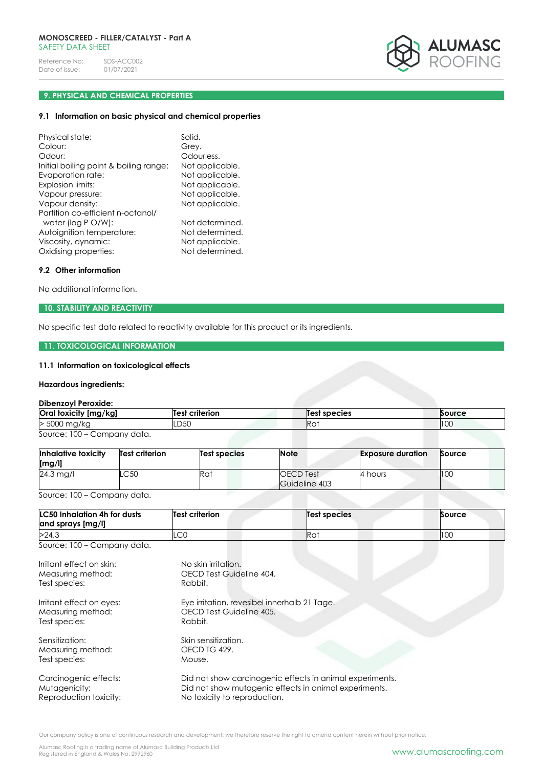

# **9. PHYSICAL AND CHEMICAL PROPERTIES**

# **9.1 Information on basic physical and chemical properties**

| Physical state:                                                                                                                      | Solid.                                                                   |
|--------------------------------------------------------------------------------------------------------------------------------------|--------------------------------------------------------------------------|
| Colour:                                                                                                                              | Grey.                                                                    |
| Odour:                                                                                                                               | Odourless.                                                               |
| Initial boiling point & boiling range:                                                                                               | Not applicable.                                                          |
| Evaporation rate:                                                                                                                    | Not applicable.                                                          |
| Explosion limits:                                                                                                                    | Not applicable.                                                          |
| Vapour pressure:                                                                                                                     | Not applicable.                                                          |
| Vapour density:                                                                                                                      | Not applicable.                                                          |
| Partition co-efficient n-octanol/<br>water (log P O/W):<br>Autoignition temperature:<br>Viscosity, dynamic:<br>Oxidising properties: | Not determined.<br>Not determined.<br>Not applicable.<br>Not determined. |

## **9.2 Other information**

No additional information.

# **10. STABILITY AND REACTIVITY**

No specific test data related to reactivity available for this product or its ingredients.

# **11. TOXICOLOGICAL INFORMATION**

# **11.1 Information on toxicological effects**

# **Hazardous ingredients:**

# **Dibenzoyl Peroxide:**

| Oral toxicity [mg/kg]       | Test criterion | Test species    | Source |
|-----------------------------|----------------|-----------------|--------|
| > 5000 mg/kg                | .D50           | Ra <sup>.</sup> | 100    |
| Source: 100 – Company data. |                |                 |        |

| Inhalative toxicity<br>[mg/l] | <b>Test criterion</b> | Test species | <b>Note</b>                | <b>Exposure duration</b> | Source |
|-------------------------------|-----------------------|--------------|----------------------------|--------------------------|--------|
| $24.3$ mg/l                   | .C50                  | Rat          | OECD Test<br>Guideline 403 | 4 hours                  | 100    |

Source: 100 – Company data.

| <b>LC50 Inhalation 4h for dusts</b><br>and sprays [mg/l] | Test criterion | Test species    | Source |
|----------------------------------------------------------|----------------|-----------------|--------|
| >24.3                                                    | $\cap$<br>∟∪∪  | Ra <sup>.</sup> | 100    |

Source: 100 – Company data.

| Irritant effect on skin: | No skin irritation.                                      |
|--------------------------|----------------------------------------------------------|
| Measuring method:        | OECD Test Guideline 404.                                 |
| Test species:            | Rabbit.                                                  |
| Irritant effect on eyes: | Eye irritation, revesibel innerhalb 21 Tage.             |
| Measuring method:        | OECD Test Guideline 405.                                 |
| Test species:            | Rabbit.                                                  |
| Sensitization:           | Skin sensitization.                                      |
| Measuring method:        | OECD TG 429.                                             |
| Test species:            | Mouse.                                                   |
| Carcinogenic effects:    | Did not show carcinogenic effects in animal experiments. |
| Mutagenicity:            | Did not show mutagenic effects in animal experiments.    |
| Reproduction toxicity:   | No toxicity to reproduction.                             |

Alumasc Roofing is a trading name of Alumasc Building Products Ltd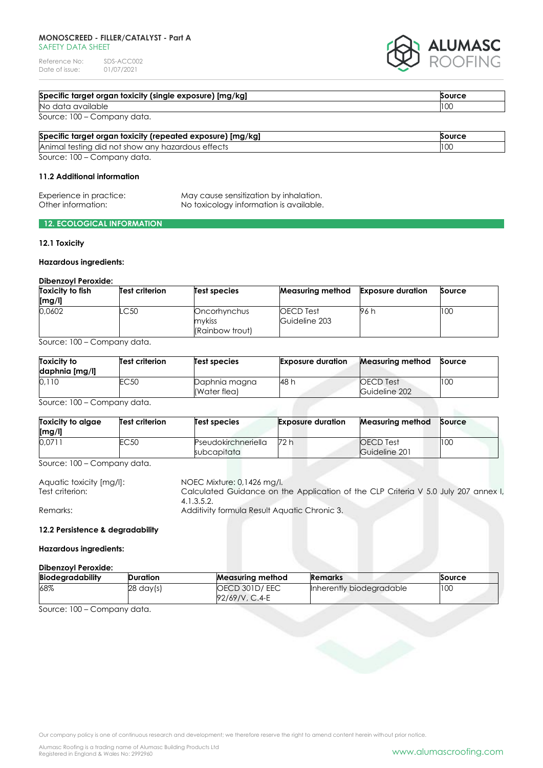## **MONOSCREED - FILLER/CATALYST - Part A** SAFETY DATA SHEET

Reference No: SDS-ACC002<br>Date of issue: 01/07/2021 Date of issue:



| Specific target organ toxicity (single exposure) [mg/kg] | Source |
|----------------------------------------------------------|--------|
| No data available                                        | 100    |
| Source: 100 – Company data.                              |        |

| Specific target organ toxicity (repeated exposure) [mg/kg] | Source |
|------------------------------------------------------------|--------|
| Animal testing did not show any hazardous effects          | 100    |
| Source: 100 – Company data.                                |        |

#### **11.2 Additional information**

| Experience in practice: | May cause sensitization by inhalation.  |
|-------------------------|-----------------------------------------|
| Other information:      | No toxicology information is available. |

## **12. ECOLOGICAL INFORMATION**

## **12.1 Toxicity**

## **Hazardous ingredients:**

#### **Dibenzoyl Peroxide:**

| Toxicity to fish<br>[mg/l] | <b>Test criterion</b> | Test species           | Measuring method           | <b>Exposure duration</b> | Source |
|----------------------------|-----------------------|------------------------|----------------------------|--------------------------|--------|
| 0.0602                     | .C50                  | Oncorhynchus<br>mvkiss | OECD Test<br>Guideline 203 | 96 h                     | 100    |
|                            |                       | (Rainbow trout)        |                            |                          |        |

Source: 100 – Company data.

| <b>Toxicity to</b><br>daphnia [mg/l] | <b>Test criterion</b> | <b>Test species</b>           | <b>Exposure duration</b> | <b>Measuring method</b>           | Source |
|--------------------------------------|-----------------------|-------------------------------|--------------------------|-----------------------------------|--------|
| 0,110                                | EC50                  | Daphnia magna<br>(Water flea) | 48 h                     | <b>OECD</b> Test<br>Guideline 202 | 100    |

Source: 100 – Company data.

| Toxicity to algae<br>[mg/l] | <b>Test criterion</b> | Test species                       | <b>Exposure duration</b> | Measuring method                  | <b>Source</b> |
|-----------------------------|-----------------------|------------------------------------|--------------------------|-----------------------------------|---------------|
| 0.0711                      | EC50                  | Pseudokirchneriella<br>subcapitata | 72 h                     | <b>OECD</b> Test<br>Guideline 201 | 100           |

Source: 100 – Company data.

| Aquatic toxicity [mg/l]: | NOEC Mixture: 0,1426 mg/l.                                                         |
|--------------------------|------------------------------------------------------------------------------------|
| Test criterion:          | Calculated Guidance on the Application of the CLP Criteria V 5.0 July 207 annex I, |
|                          | 4.1.3.5.2.                                                                         |
| Remarks:                 | Additivity formula Result Aquatic Chronic 3.                                       |

## **12.2 Persistence & degradability**

## **Hazardous ingredients:**

| Dibenzovl Peroxide: |                     |                                 |                          |        |
|---------------------|---------------------|---------------------------------|--------------------------|--------|
| Biodegradability    | Duration            | <b>Measuring method</b>         | <b>Remarks</b>           | Source |
| 68%                 | $28 \text{ day(s)}$ | OECD 301D/EEC<br>92/69/V, C.4-E | Inherently biodegradable | 100    |

Source: 100 – Company data.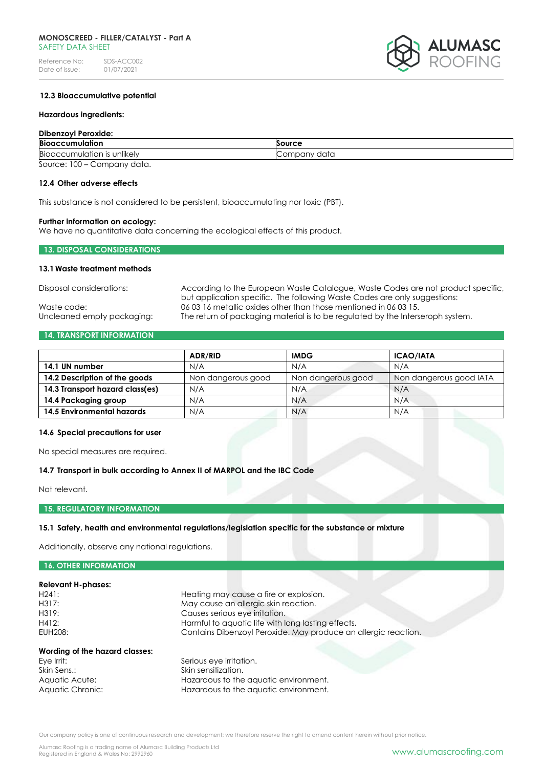

## **12.3 Bioaccumulative potential**

#### **Hazardous ingredients:**

#### **Dibenzoyl Peroxide:**

| <b>Bioaccumulation</b>                     | Source       |
|--------------------------------------------|--------------|
| $\cdots$<br>Bioaccumulation is unlikely    | Company data |
| $S_0$ uroo $\cdot$ 100<br>$l$ company data |              |

Source: 100 – Company data.

## **12.4 Other adverse effects**

This substance is not considered to be persistent, bioaccumulating nor toxic (PBT).

#### **Further information on ecology:**

We have no quantitative data concerning the ecological effects of this product.

## **13. DISPOSAL CONSIDERATIONS**

#### **13.1Waste treatment methods**

Disposal considerations: According to the European Waste Catalogue, Waste Codes are not product specific, but application specific. The following Waste Codes are only suggestions: Waste code: 06 03 16 metallic oxides other than those mentioned in 06 03 15. Uncleaned empty packaging: The return of packaging material is to be regulated by the Interseroph system.

## **14. TRANSPORT INFORMATION**

|                                 | <b>ADR/RID</b>     | <b>IMDG</b>        | <b>ICAO/IATA</b>        |
|---------------------------------|--------------------|--------------------|-------------------------|
| 14.1 UN number                  | N/A                | N/A                | N/A                     |
| 14.2 Description of the goods   | Non dangerous good | Non dangerous good | Non dangerous good IATA |
| 14.3 Transport hazard class(es) | N/A                | N/A                | N/A                     |
| 14.4 Packaging group            | N/A                | N/A                | N/A                     |
| 14.5 Environmental hazards      | N/A                | N/A                | N/A                     |

#### **14.6 Special precautions for user**

No special measures are required.

#### **14.7 Transport in bulk according to Annex II of MARPOL and the IBC Code**

Aquatic Chronic: Hazardous to the aquatic environment.

Not relevant.

#### **15. REGULATORY INFORMATION**

## **15.1 Safety, health and environmental regulations/legislation specific for the substance or mixture**

Additionally, observe any national regulations.

| <b>16. OTHER INFORMATION</b>   |                                                                |
|--------------------------------|----------------------------------------------------------------|
|                                |                                                                |
| <b>Relevant H-phases:</b>      |                                                                |
| H241:                          | Heating may cause a fire or explosion.                         |
| H317:                          | May cause an allergic skin reaction.                           |
| H319:                          | Causes serious eye irritation.                                 |
| H412:                          | Harmful to aquatic life with long lasting effects.             |
| EUH208:                        | Contains Dibenzoyl Peroxide. May produce an allergic reaction. |
| Wording of the hazard classes: |                                                                |
| Eye Irrit:                     | Serious eye irritation.                                        |
| Skin Sens.:                    | Skin sensitization.                                            |
| Aquatic Acute:                 | Hazardous to the aquatic environment.                          |

Our company policy is one of continuous research and development; we therefore reserve the right to amend content herein without prior notice.

Alumasc Roofing is a trading name of Alumasc Building Products Ltd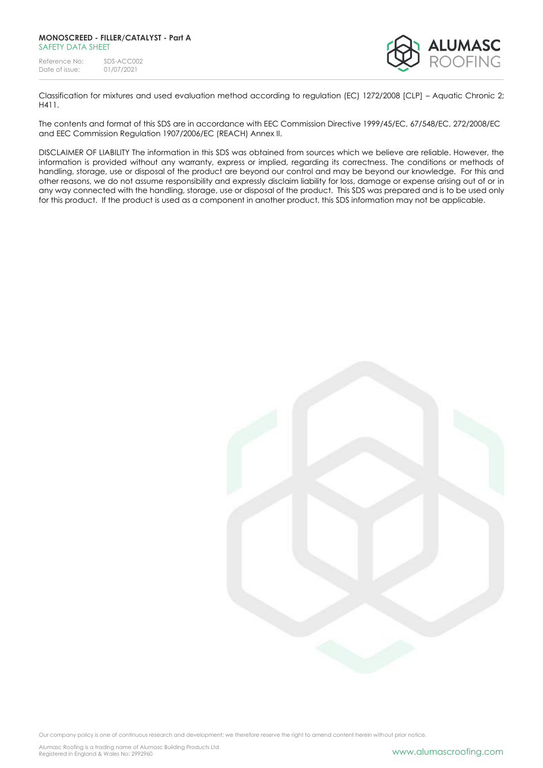

Classification for mixtures and used evaluation method according to regulation (EC) 1272/2008 [CLP] – Aquatic Chronic 2; H411.

The contents and format of this SDS are in accordance with EEC Commission Directive 1999/45/EC, 67/548/EC, 272/2008/EC and EEC Commission Regulation 1907/2006/EC (REACH) Annex II.

DISCLAIMER OF LIABILITY The information in this SDS was obtained from sources which we believe are reliable. However, the information is provided without any warranty, express or implied, regarding its correctness. The conditions or methods of handling, storage, use or disposal of the product are beyond our control and may be beyond our knowledge. For this and other reasons, we do not assume responsibility and expressly disclaim liability for loss, damage or expense arising out of or in any way connected with the handling, storage, use or disposal of the product. This SDS was prepared and is to be used only for this product. If the product is used as a component in another product, this SDS information may not be applicable.

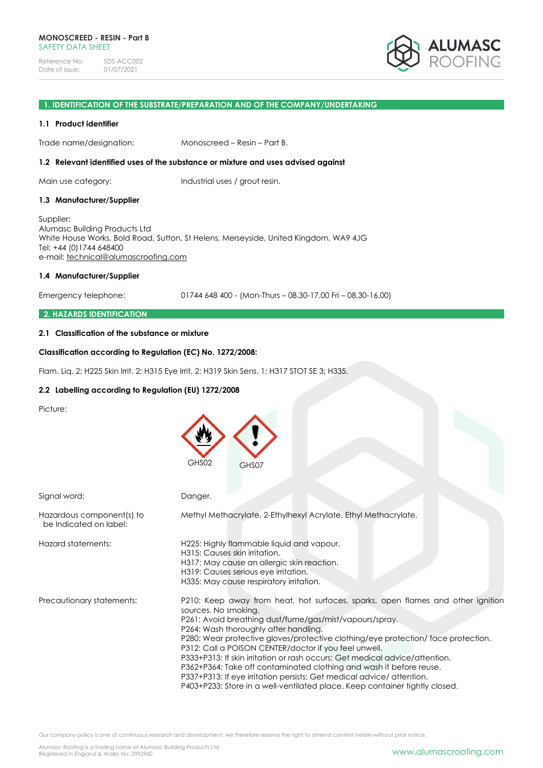#### **1. IDENTIFICATION OF THE SUBSTRATE/PREPARATION AND OF THE COMPANY/UNDERTAKING**

#### **1.1 Product identifier**

Trade name/designation: Monoscreed – Resin – Part B.

#### **1.2 Relevant identified uses of the substance or mixture and uses advised against**

Main use category: Industrial uses / grout resin.

#### **1.3 Manufacturer/Supplier**

Supplier: Alumasc Building Products Ltd White House Works, Bold Road, Sutton, St Helens, Merseyside, United Kingdom, WA9 4JG Tel: +44 (0)1744 648400 e-mail: [technical@alumascroofing.com](mailto:technical@alumascroofing.com)

#### **1.4 Manufacturer/Supplier**

Emergency telephone: 01744 648 400 - (Mon-Thurs – 08.30-17.00 Fri – 08.30-16.00)

#### **2. HAZARDS IDENTIFICATION**

## **2.1 Classification of the substance or mixture**

## **Classification according to Regulation (EC) No. 1272/2008:**

Flam. Liq. 2; H225 Skin Irrit. 2; H315 Eye Irrit. 2; H319 Skin Sens. 1; H317 STOT SE 3; H335.

#### **2.2 Labelling according to Regulation (EU) 1272/2008**

Picture:

|                                                     | GHS02<br>GHS07                                                                                                                                                                                                                                                                                                                                                                                                                                                                                                                                                                                                                                                         |
|-----------------------------------------------------|------------------------------------------------------------------------------------------------------------------------------------------------------------------------------------------------------------------------------------------------------------------------------------------------------------------------------------------------------------------------------------------------------------------------------------------------------------------------------------------------------------------------------------------------------------------------------------------------------------------------------------------------------------------------|
| Signal word:                                        | Danger.                                                                                                                                                                                                                                                                                                                                                                                                                                                                                                                                                                                                                                                                |
| Hazardous component(s) to<br>be Indicated on label: | Methyl Methacrylate, 2-Ethylhexyl Acrylate, Ethyl Methacrylate.                                                                                                                                                                                                                                                                                                                                                                                                                                                                                                                                                                                                        |
| Hazard statements:                                  | H225: Highly flammable liquid and vapour.<br>H315: Causes skin irritation.<br>H317: May cause an allergic skin reaction.<br>H319: Causes serious eye irritation.<br>H335: May cause respiratory irritation.                                                                                                                                                                                                                                                                                                                                                                                                                                                            |
| Precautionary statements:                           | P210: Keep away from heat, hot surfaces, sparks, open flames and other ignition<br>sources. No smoking.<br>P261: Avoid breathing dust/fume/gas/mist/vapours/spray.<br>P264: Wash thoroughly after handling.<br>P280: Wear protective gloves/protective clothing/eye protection/ face protection.<br>P312: Call a POISON CENTER/doctor if you feel unwell.<br>P333+P313: If skin irritation or rash occurs: Get medical advice/attention.<br>P362+P364: Take off contaminated clothing and wash it before reuse.<br>P337+P313: If eye irritation persists: Get medical advice/attention.<br>P403+P233: Store in a well-ventilated place. Keep container tightly closed. |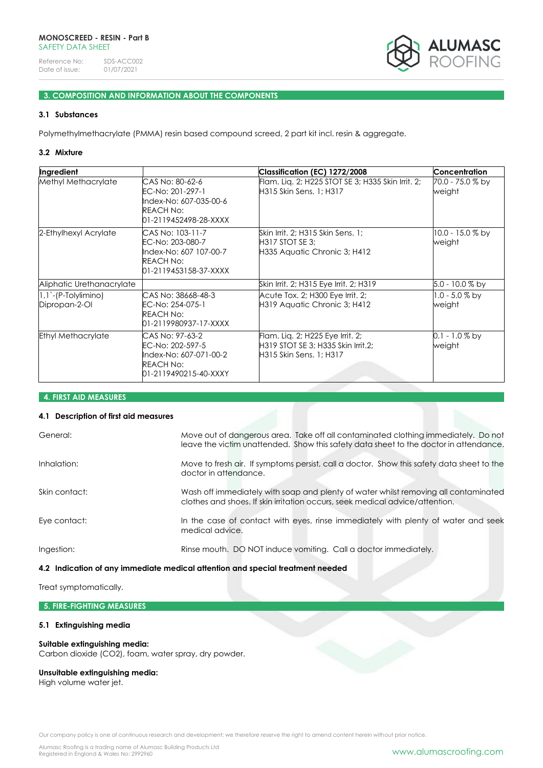

# **3. COMPOSITION AND INFORMATION ABOUT THE COMPONENTS**

## **3.1 Substances**

Polymethylmethacrylate (PMMA) resin based compound screed, 2 part kit incl. resin & aggregate.

#### **3.2 Mixture**

| Ingredient                               |                                                                                                             | Classification (EC) 1272/2008                                                                     | <b>Concentration</b>         |
|------------------------------------------|-------------------------------------------------------------------------------------------------------------|---------------------------------------------------------------------------------------------------|------------------------------|
| Methyl Methacrylate                      | CAS No: 80-62-6<br>EC-No: 201-297-1<br>Index-No: 607-035-00-6<br>REACH No:<br>01-2119452498-28-XXXX         | Flam. Liq. 2; H225 STOT SE 3; H335 Skin Irrit. 2;<br>H315 Skin Sens. 1; H317                      | 70.0 - 75.0 % by<br>weight   |
| 2-Ethylhexyl Acrylate                    | CAS No: 103-11-7<br>EC-No: 203-080-7<br>Index-No: 607 107-00-7<br><b>REACH No:</b><br>01-2119453158-37-XXXX | Skin Irrit, 2; H315 Skin Sens, 1;<br><b>H317 STOT SE 3:</b><br>H335 Aquatic Chronic 3; H412       | $10.0 - 15.0 %$ by<br>weight |
| Aliphatic Urethanacrylate                |                                                                                                             | Skin Irrit, 2; H315 Eye Irrit, 2; H319                                                            | 5.0 - 10.0 % by              |
| $ 1,1$ - (P-Tolylimino)<br>Dipropan-2-OI | CAS No: 38668-48-3<br>EC-No: 254-075-1<br><b>REACH No:</b><br>01-2119980937-17-XXXX                         | Acute Tox. 2; H300 Eye Irrit. 2;<br>H319 Aquatic Chronic 3; H412                                  | 1.0 - 5.0 % by<br>weight     |
| <b>Ethyl Methacrylate</b>                | CAS No: 97-63-2<br>EC-No: 202-597-5<br>Index-No: 607-071-00-2<br>REACH No:<br>01-2119490215-40-XXXY         | Flam. Lig. 2; H225 Eye Irrit. 2;<br>H319 STOT SE 3; H335 Skin Irrit.2;<br>H315 Skin Sens. 1; H317 | 0.1 - 1.0 % by<br>weight     |

#### **4. FIRST AID MEASURES**

#### **4.1 Description of first aid measures**

| General:      | Move out of dangerous area. Take off all contaminated clothing immediately. Do not<br>leave the victim unattended. Show this safety data sheet to the doctor in attendance. |
|---------------|-----------------------------------------------------------------------------------------------------------------------------------------------------------------------------|
| Inhalation:   | Move to fresh air. If symptoms persist, call a doctor. Show this safety data sheet to the<br>doctor in attendance.                                                          |
| Skin contact: | Wash off immediately with soap and plenty of water whilst removing all contaminated<br>clothes and shoes. If skin irritation occurs, seek medical advice/attention.         |
| Eye contact:  | In the case of contact with eyes, rinse immediately with plenty of water and seek<br>medical advice.                                                                        |
| Ingestion:    | Rinse mouth. DO NOT induce vomiting. Call a doctor immediately.                                                                                                             |

## **4.2 Indication of any immediate medical attention and special treatment needed**

Treat symptomatically.

## **5. FIRE-FIGHTING MEASURES**

## **5.1 Extinguishing media**

#### **Suitable extinguishing media:**

Carbon dioxide (CO2), foam, water spray, dry powder.

#### **Unsuitable extinguishing media:**

High volume water jet.

Our company policy is one of continuous research and development; we therefore reserve the right to amend content herein without prior notice.

Alumasc Roofing is a trading name of Alumasc Building Products Ltd<br>Registered in England & Wales No: 2992960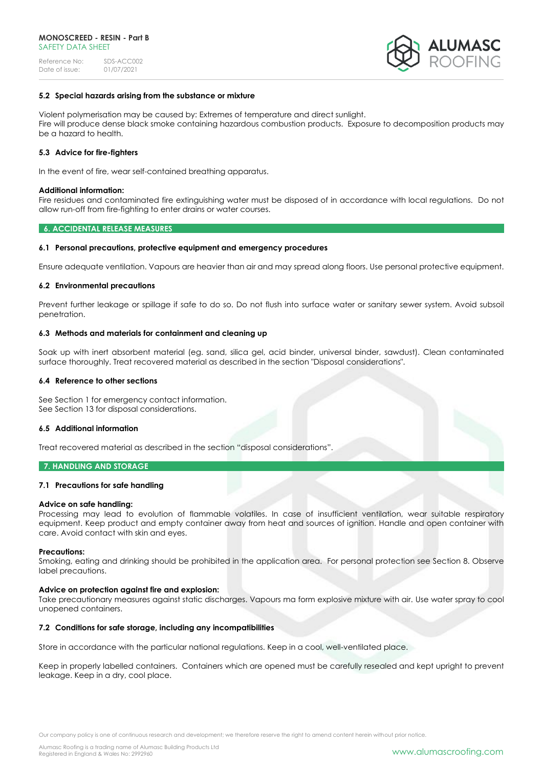

## **5.2 Special hazards arising from the substance or mixture**

Violent polymerisation may be caused by: Extremes of temperature and direct sunlight. Fire will produce dense black smoke containing hazardous combustion products. Exposure to decomposition products may be a hazard to health.

#### **5.3 Advice for fire-fighters**

In the event of fire, wear self-contained breathing apparatus.

#### **Additional information:**

Fire residues and contaminated fire extinguishing water must be disposed of in accordance with local regulations. Do not allow run-off from fire-fighting to enter drains or water courses.

#### **6. ACCIDENTAL RELEASE MEASURES**

#### **6.1 Personal precautions, protective equipment and emergency procedures**

Ensure adequate ventilation. Vapours are heavier than air and may spread along floors. Use personal protective equipment.

#### **6.2 Environmental precautions**

Prevent further leakage or spillage if safe to do so. Do not flush into surface water or sanitary sewer system. Avoid subsoil penetration.

#### **6.3 Methods and materials for containment and cleaning up**

Soak up with inert absorbent material (eg. sand, silica gel, acid binder, universal binder, sawdust). Clean contaminated surface thoroughly. Treat recovered material as described in the section "Disposal considerations".

#### **6.4 Reference to other sections**

See Section 1 for emergency contact information. See Section 13 for disposal considerations.

#### **6.5 Additional information**

Treat recovered material as described in the section "disposal considerations".

#### **7. HANDLING AND STORAGE**

#### **7.1 Precautions for safe handling**

#### **Advice on safe handling:**

Processing may lead to evolution of flammable volatiles. In case of insufficient ventilation, wear suitable respiratory equipment. Keep product and empty container away from heat and sources of ignition. Handle and open container with care. Avoid contact with skin and eyes.

#### **Precautions:**

Smoking, eating and drinking should be prohibited in the application area. For personal protection see Section 8. Observe label precautions.

#### **Advice on protection against fire and explosion:**

Take precautionary measures against static discharges. Vapours ma form explosive mixture with air. Use water spray to cool unopened containers.

## **7.2 Conditions for safe storage, including any incompatibilities**

Store in accordance with the particular national regulations. Keep in a cool, well-ventilated place.

Keep in properly labelled containers. Containers which are opened must be carefully resealed and kept upright to prevent leakage. Keep in a dry, cool place.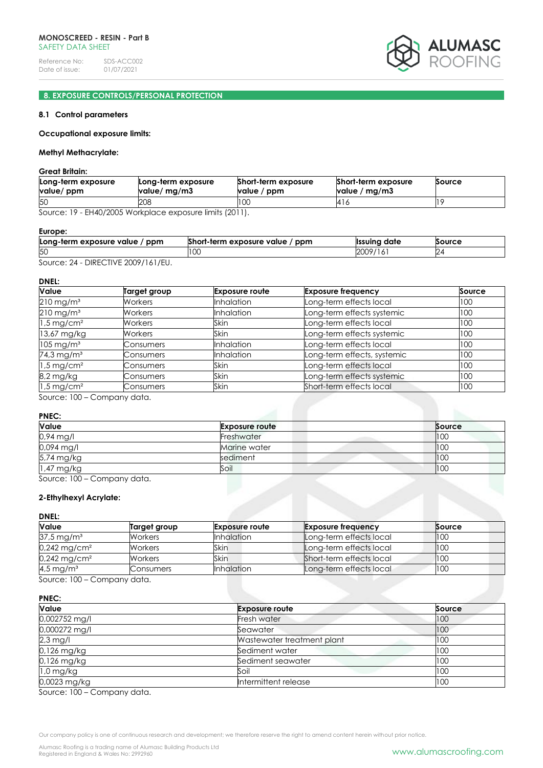

# **8. EXPOSURE CONTROLS/PERSONAL PROTECTION**

## **8.1 Control parameters**

#### **Occupational exposure limits:**

## **Methyl Methacrylate:**

**Great Britain:**

| Long-term exposure | Long-term exposure | Short-term exposure | Short-term exposure | Source |
|--------------------|--------------------|---------------------|---------------------|--------|
| value/ ppm         | value/ mg/m3       | value / ppm         | value / mg/m3       |        |
| <b>50</b>          | 208                | 100                 | ن ا 4ا              |        |

Source: 19 - EH40/2005 Workplace exposure limits (2011).

#### **Europe:**

| Long-term exposure value / ppm                                 | Short-term exposure value / ppm | Issuing date  | Source |
|----------------------------------------------------------------|---------------------------------|---------------|--------|
| <sup>5C</sup>                                                  | טע                              | 2009/1<br>161 | ∠∸     |
| $DIDFCTH/E$ 0000 $11/1/F1$<br>$C_{\alpha}, \ldots, C_{\alpha}$ |                                 |               |        |

Source: 24 - DIRECTIVE 2009/161/EU.

#### **DNEL:**

| Value                    | Target group | <b>Exposure route</b> | <b>Exposure frequency</b>   | Source |
|--------------------------|--------------|-----------------------|-----------------------------|--------|
| $210$ mg/m <sup>3</sup>  | Workers      | <b>Inhalation</b>     | Long-term effects local     | 100    |
| $210 \text{ mg/m}^3$     | Workers      | <b>Inhalation</b>     | Long-term effects systemic  | 100    |
| $1.5$ mg/cm <sup>2</sup> | Workers      | Skin                  | Long-term effects local     | 100    |
| 13,67 mg/kg              | Workers      | Skin                  | Long-term effects systemic  | 100    |
| $105 \text{ mg/m}^3$     | Consumers    | <b>Inhalation</b>     | Long-term effects local     | 100    |
| $74.3$ mg/m <sup>3</sup> | Consumers    | <b>Inhalation</b>     | Long-term effects, systemic | 100    |
| $1.5 \,\mathrm{mg/cm^2}$ | Consumers    | Skin                  | Long-term effects local     | 100    |
| 8,2 mg/kg                | Consumers    | Skin                  | Long-term effects systemic  | 100    |
| $1.5 \,\mathrm{mg/cm^2}$ | Consumers    | Skin                  | Short-term effects local    | 100    |

Source: 100 – Company data.

## **PNEC:**

| Value      | <b>Exposure route</b> | Source |
|------------|-----------------------|--------|
| 0,94 mg/l  | Freshwater            | 100    |
| 0,094 mg/l | Marine water          | 100    |
| 5,74 mg/kg | sediment              | 100    |
| 1,47 mg/kg | Soil                  | 100    |

Source: 100 – Company data.

## **2-Ethylhexyl Acrylate:**

## **DNEL:**

| <b>Value</b>                                     | Target group   | <b>Exposure route</b> | <b>Exposure frequency</b> | Source |
|--------------------------------------------------|----------------|-----------------------|---------------------------|--------|
| $37.5 \,\mathrm{mg/m^3}$                         | <b>Workers</b> | <b>Inhalation</b>     | Long-term effects local   | 100    |
| $0,242 \,\mathrm{mg/cm^2}$                       | <b>Workers</b> | Skin                  | Long-term effects local   | 100    |
| $0,242$ mg/cm <sup>2</sup>                       | <b>Workers</b> | <b>Skin</b>           | Short-term effects local  | 100    |
| 4,5 mg/m <sup>3</sup>                            | Consumers      | <b>Inhalation</b>     | Long-term effects local   | 100    |
| $S_{\text{OUTCA}}$ , $100 - \text{Compony data}$ |                |                       |                           |        |

Source: 100 – Company data.

#### **PNEC:**

| Value         | <b>Exposure route</b>      | Source |
|---------------|----------------------------|--------|
| 0,002752 mg/l | Fresh water                | 100    |
| 0,000272 mg/l | Seawater                   | 100    |
| $2,3$ mg/l    | Wastewater treatment plant | 100    |
| 0,126 mg/kg   | Sediment water             | 100    |
| $0.126$ mg/kg | Sediment seawater          | 100    |
| $1,0$ mg/kg   | Soil                       | 100    |
| 0,0023 mg/kg  | Intermittent release       | 100    |

Source: 100 – Company data.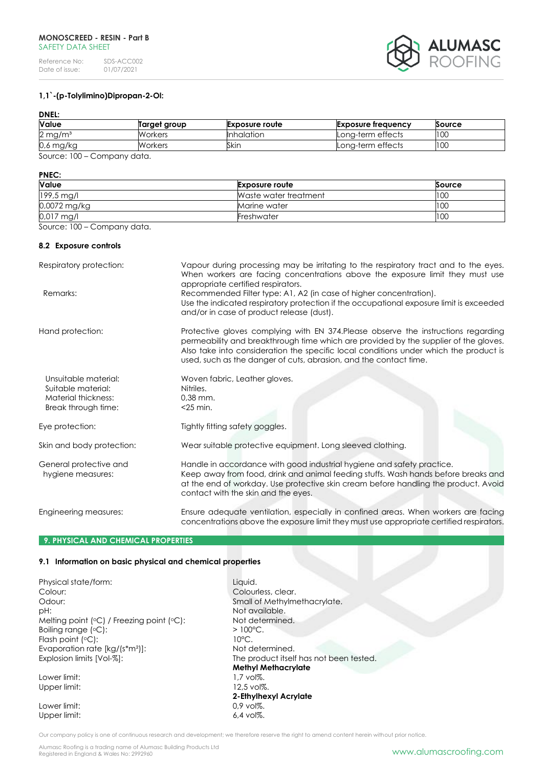#### **MONOSCREED - RESIN - Part B** SAFFTY DATA SHFFT

Reference No: SDS-ACC002<br>Date of issue: 01/07/2021 Date of issue:



## **1,1`-(p-Tolylimino)Dipropan-2-Ol:**

# **DNEL:**

| <b>Value</b>                                                                                                                                                                                                                                  | Target group | <b>Exposure route</b> | <b>Exposure freauency</b> | Source |
|-----------------------------------------------------------------------------------------------------------------------------------------------------------------------------------------------------------------------------------------------|--------------|-----------------------|---------------------------|--------|
| $2 \,\mathrm{mg/m^3}$                                                                                                                                                                                                                         | Workers      | <b>I</b> nhalation    | Long-term effects         | 100    |
| 0,6 mg/kg                                                                                                                                                                                                                                     | Workers      | Skin                  | Long-term effects         | 100    |
| 0.100<br><u>Allen in the second set of the set of the set of the set of the set of the set of the set of the set of the set of the set of the set of the set of the set of the set of the set of the set of the set of the set of the set</u> |              |                       |                           |        |

Source: 100 – Company data.

#### **PNEC:**

| <b>Value</b> | <b>Exposure route</b> | Source          |
|--------------|-----------------------|-----------------|
| 199,5 mg/l   | Waste water treatment | 100             |
| 0,0072 mg/kg | Marine water          | 10 <sub>C</sub> |
| 0,017 mg/l   | Freshwater            | 100             |

Source: 100 – Company data.

#### **8.2 Exposure controls**

| Respiratory protection:                                                                  | Vapour during processing may be irritating to the respiratory tract and to the eyes.<br>When workers are facing concentrations above the exposure limit they must use<br>appropriate certified respirators.                                                                                                                              |
|------------------------------------------------------------------------------------------|------------------------------------------------------------------------------------------------------------------------------------------------------------------------------------------------------------------------------------------------------------------------------------------------------------------------------------------|
| Remarks:                                                                                 | Recommended Filter type: A1, A2 (in case of higher concentration).<br>Use the indicated respiratory protection if the occupational exposure limit is exceeded<br>and/or in case of product release (dust).                                                                                                                               |
| Hand protection:                                                                         | Protective gloves complying with EN 374. Please observe the instructions regarding<br>permeability and breakthrough time which are provided by the supplier of the gloves.<br>Also take into consideration the specific local conditions under which the product is<br>used, such as the danger of cuts, abrasion, and the contact time. |
| Unsuitable material:<br>Suitable material:<br>Material thickness:<br>Break through time: | Woven fabric, Leather gloves.<br>Nitriles.<br>$0.38$ mm.<br>$<$ 25 min.                                                                                                                                                                                                                                                                  |
| Eye protection:                                                                          | Tightly fitting safety goggles.                                                                                                                                                                                                                                                                                                          |
| Skin and body protection:                                                                | Wear suitable protective equipment. Long sleeved clothing.                                                                                                                                                                                                                                                                               |
| General protective and<br>hygiene measures:                                              | Handle in accordance with good industrial hygiene and safety practice.<br>Keep away from food, drink and animal feeding stuffs. Wash hands before breaks and<br>at the end of workday. Use protective skin cream before handling the product. Avoid<br>contact with the skin and the eyes.                                               |
| Engineering measures:                                                                    | Ensure adequate ventilation, especially in confined areas. When workers are facing<br>concentrations above the exposure limit they must use appropriate certified respirators.                                                                                                                                                           |

### **9. PHYSICAL AND CHEMICAL PROPERTIES**

## **9.1 Information on basic physical and chemical properties**

Physical state/form: Liquid. Colour: Colourless, clear. Odour: Contact Methylmethacrylate. pH:  $P$ Melting point  $(°C)$  / Freezing point  $(°C)$ : Not determined. Boiling range  $[°C]$ :  $> 100°C$ . Flash point (°C):  $10^{\circ}$ C.<br>Evaporation rate [kg/(s\*m<sup>2</sup>]]:  $10^{\circ}$ C. Not determined. Evaporation rate  $[kg/(s*m<sup>2</sup>)]:$ Explosion limits  $[Vol-%]$ : The product itself has not been tested.

Lower limit:  $1,7$  vol%.<br>Upper limit:  $12,5$  vol%. Upper limit:

Lower limit: 0,9 vol%.<br>Upper limit: 6,4 vol%. Upper limit:

**Methyl Methacrylate 2-Ethylhexyl Acrylate**

Our company policy is one of continuous research and development; we therefore reserve the right to amend content herein without prior notice.

Alumasc Roofing is a trading name of Alumasc Building Products Ltd<br>Registered in England & Wales No: 2992960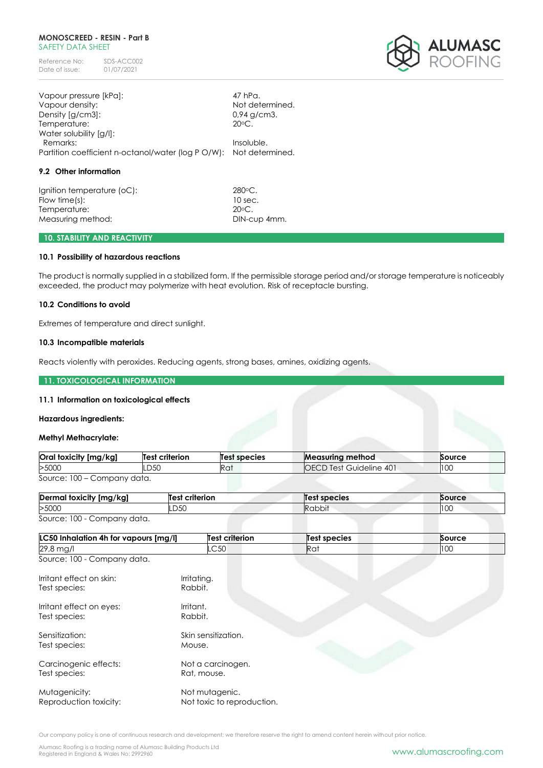#### **MONOSCREED - RESIN - Part B** SAFFTY DATA SHFFT

Reference No: SDS-ACC002<br>Date of issue: 01/07/2021 Date of issue:



| Vapour pressure [kPa]:                                             | 47 hPa.         |
|--------------------------------------------------------------------|-----------------|
| Vapour density:                                                    | Not determined. |
| Density [g/cm3]:                                                   | $0.94$ g/cm3.   |
| Temperature:                                                       | $20^{\circ}$ C. |
| Water solubility [g/l]:                                            |                 |
| Remarks:                                                           | Insoluble.      |
| Partition coefficient n-octanol/water (log P O/W): Not determined. |                 |
|                                                                    |                 |

#### **9.2 Other information**

Ignition temperature (oC): 280°C. Flow time(s): 10 sec. Temperature: 20<sup>o</sup>C. Measuring method: DIN-cup 4mm.

## **10. STABILITY AND REACTIVITY**

## **10.1 Possibility of hazardous reactions**

The product is normally supplied in a stabilized form. If the permissible storage period and/or storage temperature is noticeably exceeded, the product may polymerize with heat evolution. Risk of receptacle bursting.

## **10.2 Conditions to avoid**

Extremes of temperature and direct sunlight.

#### **10.3 Incompatible materials**

Reacts violently with peroxides. Reducing agents, strong bases, amines, oxidizing agents.

#### **11. TOXICOLOGICAL INFORMATION**

## **11.1 Information on toxicological effects**

#### **Hazardous ingredients:**

#### **Methyl Methacrylate:**

| Oral toxicity [mg/kg]       | Test criterion | Test species | <b>Measuring method</b>        | Source |
|-----------------------------|----------------|--------------|--------------------------------|--------|
| >5000                       | .D5C           | Rat          | <b>OECD Test Guideline 401</b> | 100    |
| Source: 100 – Company data. |                |              |                                |        |

| Dermal toxicity [mg/kg]     | Test criterion | Test species  | Source |
|-----------------------------|----------------|---------------|--------|
| >5000                       | LD50           | <b>Rabbit</b> | 100    |
| Source: 100 - Company data. |                |               |        |

|  | Source: 100 - Company data. |  |
|--|-----------------------------|--|
|--|-----------------------------|--|

| LC50 Inhalation 4h for vapours [mg/l]     | <b>Test criterion</b>                        | <b>Test species</b> | Source |
|-------------------------------------------|----------------------------------------------|---------------------|--------|
| 29,8 mg/l                                 | LC50                                         | Rat                 | 100    |
| Source: 100 - Company data.               |                                              |                     |        |
| Irritant effect on skin:<br>Test species: | Irritating.<br>Rabbit.                       |                     |        |
| Irritant effect on eyes:<br>Test species: | Irritant.<br>Rabbit.                         |                     |        |
| Sensitization:<br>Test species:           | Skin sensitization.<br>Mouse.                |                     |        |
| Carcinogenic effects:<br>Test species:    | Not a carcinogen.<br>Rat, mouse.             |                     |        |
| Mutagenicity:<br>Reproduction toxicity:   | Not mutagenic.<br>Not toxic to reproduction. |                     |        |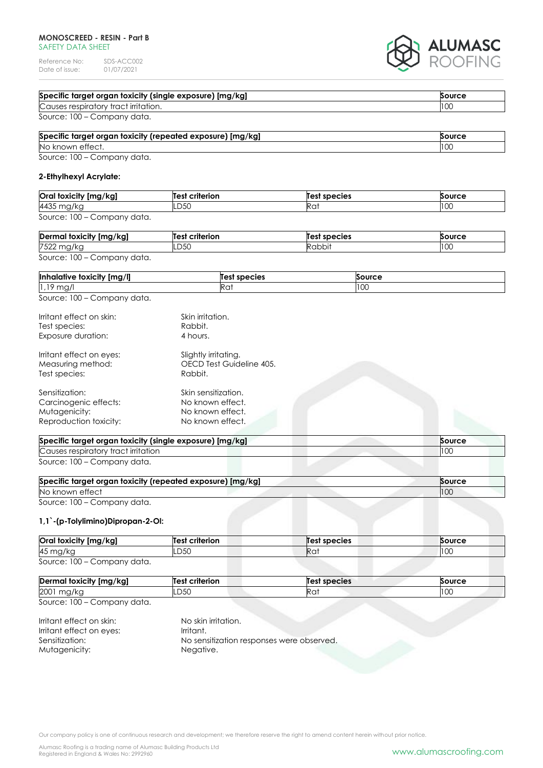#### **MONOSCREED - RESIN - Part B** SAFETY DATA SHEET

Reference No: SDS-ACC002<br>Date of issue: 01/07/2021 Date of issue:



| Specific target organ toxicity (single exposure) [mg/kg]<br>Source |       |
|--------------------------------------------------------------------|-------|
| Causes respiratory tract irritation.                               | 100   |
| Source: 100 – Company data.                                        |       |
| Specific target ergan texicity (repeated experies) [mg/kg]         | 50150 |

| Specific target organ toxicity (repeated exposure) [mg/kg]<br>Source |     |
|----------------------------------------------------------------------|-----|
| No known effect.                                                     | 10C |
| Source: 100 Company data                                             |     |

Source: 100 – Company data.

## **2-Ethylhexyl Acrylate:**

| Oral toxicity [mg/kg]       | Test criterion | Test species | Source |
|-----------------------------|----------------|--------------|--------|
| 4435 mg/kg                  | LD50           | Rat          | 100    |
| Source: 100 – Company data. |                |              |        |

| Dermal toxicity [mg/kg]     | Test criterion | Test species | Source |
|-----------------------------|----------------|--------------|--------|
| 7522 mg/kg                  | LD50           | Rabbit       | 100    |
| Source: 100 – Company data. |                |              |        |

| Ima/Il<br><b>Inhalative</b><br>toxicity | species<br>nes | Source |
|-----------------------------------------|----------------|--------|
| $\sim$<br>$\mathbf{1}$ ,<br>mg,<br>ت .  | Rai            | 100    |

Source: 100 – Company data.

| Irritant effect on skin:<br>Test species:<br>Exposure duration:                    | Skin irritation.<br>Rabbit.<br>4 hours.                                         |  |
|------------------------------------------------------------------------------------|---------------------------------------------------------------------------------|--|
| Irritant effect on eyes:<br>Measuring method:<br>Test species:                     | Slightly irritating.<br>OECD Test Guideline 405.<br>Rabbit.                     |  |
| Sensitization:<br>Carcinogenic effects:<br>Mutagenicity:<br>Reproduction toxicity: | Skin sensitization.<br>No known effect.<br>No known effect.<br>No known effect. |  |

| Specific target organ toxicity (single exposure) [mg/kg]<br><b>Source</b> |     |
|---------------------------------------------------------------------------|-----|
| Causes respiratory tract irritation                                       | 100 |
| Source: 100 – Company data.                                               |     |

| Specific target organ toxicity (repeated exposure) [mg/kg]<br>Source |     |
|----------------------------------------------------------------------|-----|
| No known effect                                                      | 100 |
| Source: 100 – Company data.                                          |     |

## **1,1`-(p-Tolylimino)Dipropan-2-Ol:**

| Oral toxicity [mg/kg]       | <b>Test criterion</b> | Test species | Source |
|-----------------------------|-----------------------|--------------|--------|
| 45 mg/kg                    | LD50                  | Ra           | 100    |
| Source: 100 - Company data. |                       |              |        |

| mal toxicity [mg/kg]<br>Derma | criterion<br>ா~ு | Test species | <b>Source</b> |
|-------------------------------|------------------|--------------|---------------|
| 2001<br>11147 N               | 7 F C<br>.DSU    | Rai          | טטו           |
| .<br>$-$<br>$\sim$            |                  |              |               |

Source: 100 – Company data.

Irritant effect on skin: No skin irritation.<br>Irritant effect on eves: Irritant. Irritant effect on eyes: Sensitization: No sensitization responses were observed. Mutagenicity: Negative.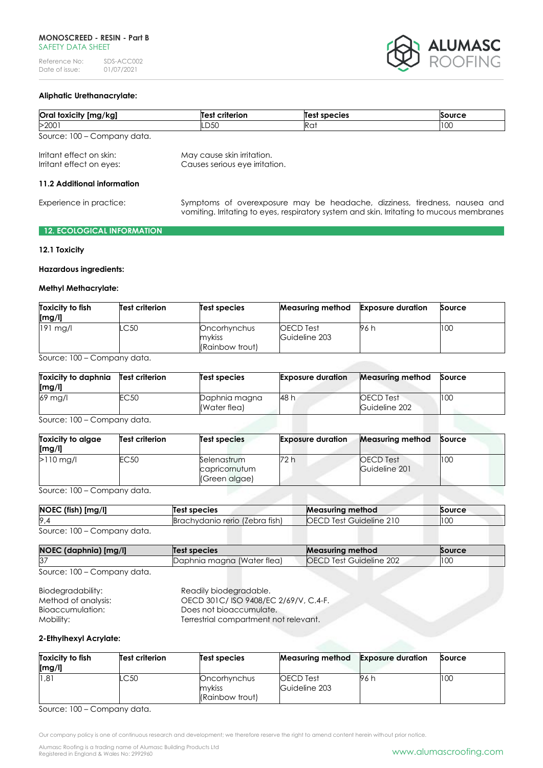

## **Aliphatic Urethanacrylate:**

| Oral toxicity [mg/kg]       | <b>Test criterion</b> | Test species | Source |
|-----------------------------|-----------------------|--------------|--------|
| >2001                       | LD50                  | Rat          | 100    |
| Source: 100 – Company data. |                       |              |        |

Irritant effect on skin: May cause skin irritation. Irritant effect on eyes: Causes serious eye irritation.

## **11.2 Additional information**

Experience in practice: Symptoms of overexposure may be headache, dizziness, tiredness, nausea and vomiting. Irritating to eyes, respiratory system and skin. Irritating to mucous membranes

## **12. ECOLOGICAL INFORMATION**

#### **12.1 Toxicity**

#### **Hazardous ingredients:**

#### **Methyl Methacrylate:**

| Toxicity to fish<br>[mg/l] | Test criterion | Test species                              | Measuring method                  | Exposure duration | Source |
|----------------------------|----------------|-------------------------------------------|-----------------------------------|-------------------|--------|
| $191$ ma/                  | LC 50          | Oncorhynchus<br>mykiss<br>(Rainbow trout) | <b>OECD</b> Test<br>Guideline 203 | 96 h              | 100    |

Source: 100 – Company data.

| Toxicity to daphnia<br>[mg/l] | Test criterion | Test species                  | <b>Exposure duration</b> | <b>Measuring method</b>           | Source |
|-------------------------------|----------------|-------------------------------|--------------------------|-----------------------------------|--------|
| $69$ mg/l                     | EC50           | Daphnia magna<br>(Water flea) | 48 h                     | <b>OECD</b> Test<br>Guideline 202 | 100    |

Source: 100 – Company data.

| Toxicity to algae<br>[mg/l] | <b>Test criterion</b> | Test species                                  | <b>Exposure duration</b> | <b>Measuring method</b>    | Source |
|-----------------------------|-----------------------|-----------------------------------------------|--------------------------|----------------------------|--------|
| $>110$ ma/l                 | EC50                  | Selenastrum<br>capricornutum<br>(Green algae) | 72 h                     | OECD Test<br>Guideline 201 | 100    |

Source: 100 – Company data.

| $NOEC$ (fish) $[mg/l]$ | Test species                   | <b>Measuring method</b>      | <b>Source</b> |
|------------------------|--------------------------------|------------------------------|---------------|
| 9,4                    | Brachydanio rerio (Zebra fish) | OECD<br>ີ Test Guideline 21ບ | 100           |
| 0.100                  |                                |                              |               |

Source: 100 – Company data.

| NOEC (daphnia) [mg/l] | Test species               | <b>Measuring method</b>        | <b>Source</b> |
|-----------------------|----------------------------|--------------------------------|---------------|
| <b>B</b>              | Daphnia magna (Water flea) | <b>OECD Test Guideline 202</b> | 100           |
| - - -                 |                            |                                |               |

| Source: 100 - Company data. |
|-----------------------------|
|-----------------------------|

| Biodegradability:   | Readily biodegradable.                |
|---------------------|---------------------------------------|
| Method of analysis: | OECD 301C/ISO 9408/EC 2/69/V, C.4-F.  |
| Bioaccumulation:    | Does not bioaccumulate.               |
| Mobility: .         | Terrestrial compartment not relevant. |

### **2-Ethylhexyl Acrylate:**

| Toxicity to fish<br>[mg/l] | Test criterion | Test species                              | <b>Measuring method</b>    | <b>Exposure duration</b> | Source |
|----------------------------|----------------|-------------------------------------------|----------------------------|--------------------------|--------|
| 1.81                       | .C50           | Oncorhynchus<br>mykiss<br>(Rainbow trout) | OECD Test<br>Guideline 203 | 96 h                     | 100    |

Source: 100 – Company data.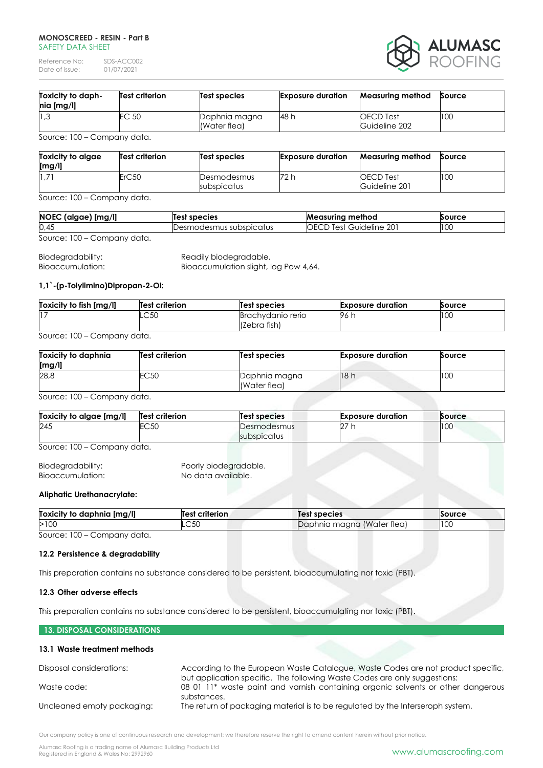#### **MONOSCREED - RESIN - Part B** SAFFTY DATA SHFFT

Reference No: SDS-ACC002<br>Date of issue: 01/07/2021 Date of issue:



| Toxicity to daph-<br>nia [mg/l] | Test criterion | Test species                  | <b>Exposure duration</b> | <b>Measuring method</b>           | Source |
|---------------------------------|----------------|-------------------------------|--------------------------|-----------------------------------|--------|
| 1,3                             | EC 50          | Daphnia magna<br>(Water flea) | 48 h                     | <b>OECD</b> Test<br>Guideline 202 | 100    |

Source: 100 – Company data.

| Toxicity to algae<br>[mg/l] | <b>Test criterion</b> | Test species               | <b>Exposure duration</b> | Measuring method                  | Source |
|-----------------------------|-----------------------|----------------------------|--------------------------|-----------------------------------|--------|
| $11.7^{\circ}$              | ErC50                 | Desmodesmus<br>subspicatus | 72 h                     | <b>OECD</b> Test<br>Guideline 201 | 100    |

Source: 100 – Company data.

| NOEC (algae) [mg/l]         | Test species            | Measuring method               | Source |
|-----------------------------|-------------------------|--------------------------------|--------|
| 0,45                        | Desmodesmus subspicatus | <b>OECD Test Guideline 201</b> | 100    |
| Source: 100 – Company data. |                         |                                |        |

Biodegradability: Readily biodegradable. Bioaccumulation: Bioaccumulation slight, log Pow 4,64.

## **1,1`-(p-Tolylimino)Dipropan-2-Ol:**

| Toxicity to fish [mg/l] | <b>Test criterion</b> | Test species                      | <b>Exposure duration</b> | <b>Source</b> |
|-------------------------|-----------------------|-----------------------------------|--------------------------|---------------|
|                         | $\sim$ 50<br>بانب     | Brachvdanio rerio<br>(Zebra fish) | 96 h                     | 100           |

# Source: 100 – Company data.

| Toxicity to daphnia<br>[mg/l] | <b>Test criterion</b> | Test species                  | <b>Exposure duration</b> | Source |
|-------------------------------|-----------------------|-------------------------------|--------------------------|--------|
| 28,8                          | <b>EC50</b>           | Daphnia magna<br>(Water flea) | 18h                      | 100    |

Source: 100 – Company data.

| Toxicity to algae [mg/l]     | Test criterion | Test species               | <b>Exposure duration</b> | Source |
|------------------------------|----------------|----------------------------|--------------------------|--------|
| 245                          | <b>EC50</b>    | Desmodesmus<br>subspicatus | 77 h                     | 100    |
| $S_0$ uroo: 100 Company data |                |                            |                          |        |

Source: 100 – Company data.

Biodegradability: Poorly biodegradable. Bioaccumulation: No data available.

## **Aliphatic Urethanacrylate:**

| <b>Toxicity to</b><br>daphnia [mg/l] | <b>Test criterion</b> | Test species                        | Source |
|--------------------------------------|-----------------------|-------------------------------------|--------|
| >100                                 | ∼∽∟                   | Water flea<br>maana<br>Dα<br>- 11 U | 100    |
| 0.100                                |                       |                                     |        |

Source: 100 – Company data.

## **12.2 Persistence & degradability**

This preparation contains no substance considered to be persistent, bioaccumulating nor toxic (PBT).

#### **12.3 Other adverse effects**

This preparation contains no substance considered to be persistent, bioaccumulating nor toxic (PBT).

## **13. DISPOSAL CONSIDERATIONS**

## **13.1 Waste treatment methods**

| Disposal considerations:   | According to the European Waste Catalogue, Waste Codes are not product specific,                            |
|----------------------------|-------------------------------------------------------------------------------------------------------------|
|                            | but application specific. The following Waste Codes are only suggestions:                                   |
| Waste code:                | 08 01 11 <sup>*</sup> waste paint and varnish containing organic solvents or other dangerous<br>substances. |
| Uncleaned empty packaging: | The return of packaging material is to be regulated by the Interseroph system.                              |

Our company policy is one of continuous research and development; we therefore reserve the right to amend content herein without prior notice.

Alumasc Roofing is a trading name of Alumasc Building Products Ltd<br>Registered in England & Wales No: 2992960